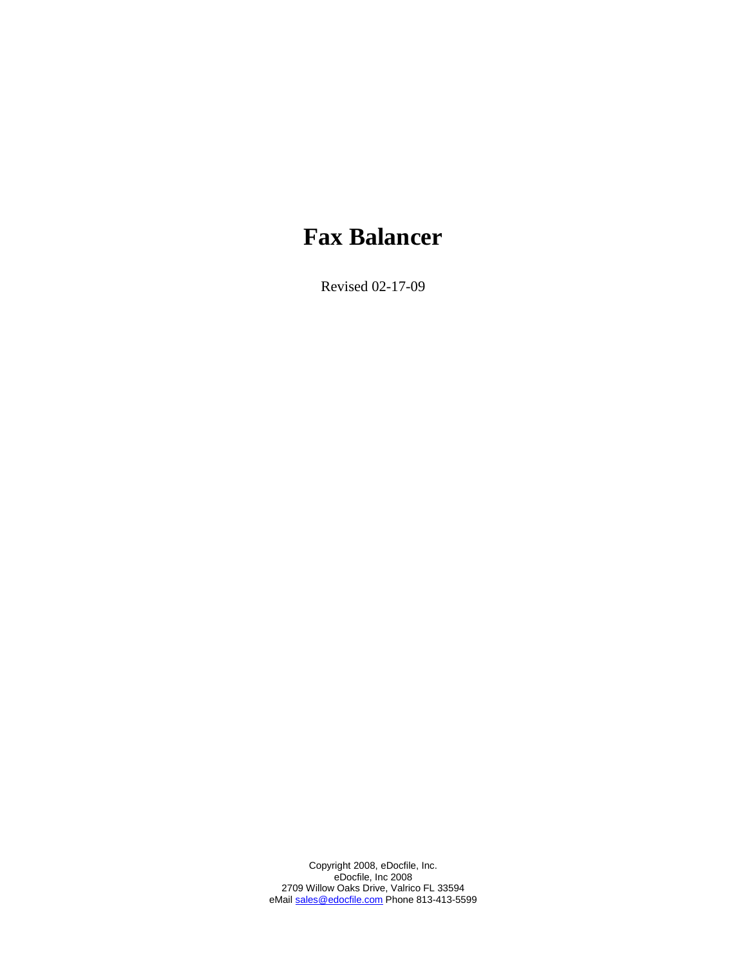# **Fax Balancer**

Revised 02-17-09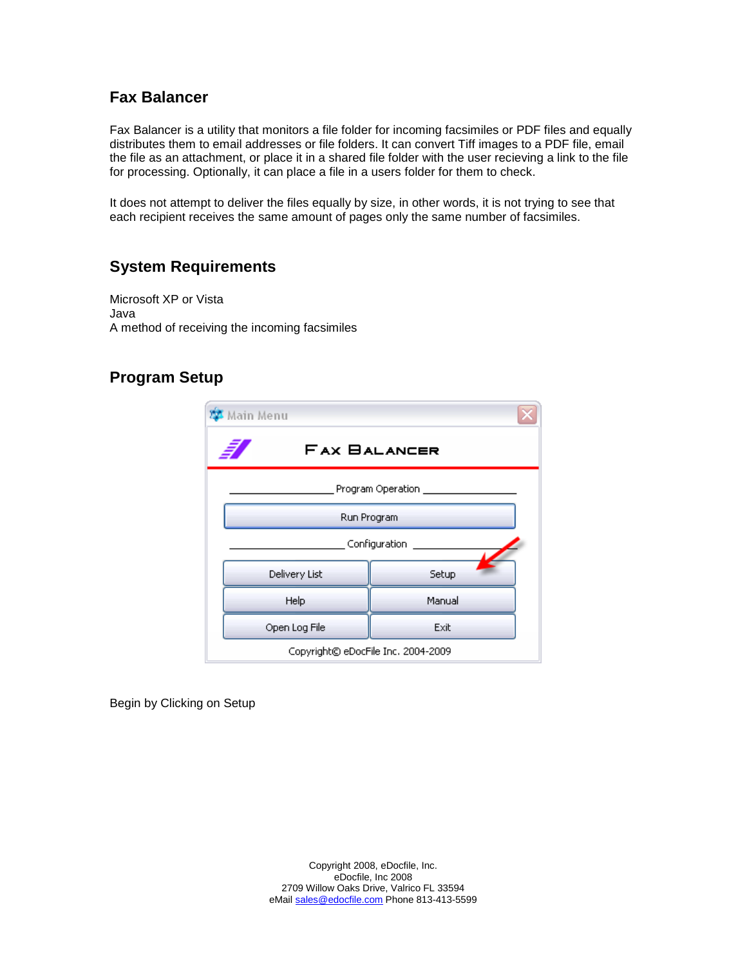#### **Fax Balancer**

Fax Balancer is a utility that monitors a file folder for incoming facsimiles or PDF files and equally distributes them to email addresses or file folders. It can convert Tiff images to a PDF file, email the file as an attachment, or place it in a shared file folder with the user recieving a link to the file for processing. Optionally, it can place a file in a users folder for them to check.

It does not attempt to deliver the files equally by size, in other words, it is not trying to see that each recipient receives the same amount of pages only the same number of facsimiles.

### **System Requirements**

Microsoft XP or Vista Java A method of receiving the incoming facsimiles

#### **Program Setup**

| Main Menu                          |        |  |  |
|------------------------------------|--------|--|--|
| <b>FAX BALANCER</b>                |        |  |  |
| Program Operation ______________   |        |  |  |
| Run Program                        |        |  |  |
| Configuration                      |        |  |  |
| Delivery List                      | Setup  |  |  |
| Help                               | Manual |  |  |
| Open Log File                      | Exit   |  |  |
| Copyright© eDocFile Inc. 2004-2009 |        |  |  |

Begin by Clicking on Setup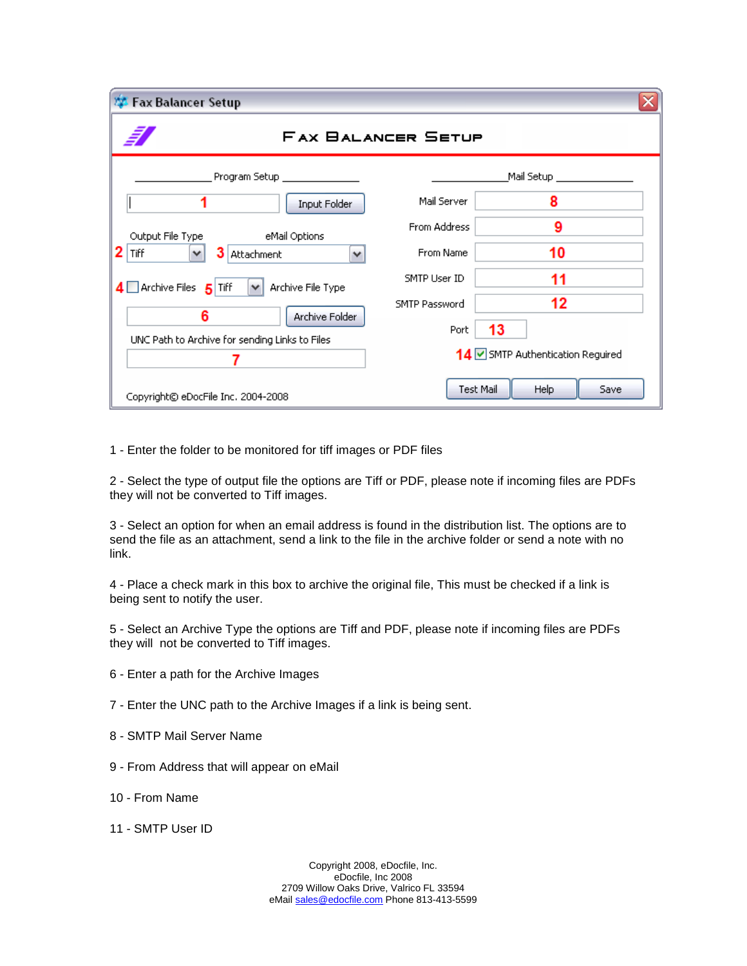| <b>Fax Balancer Setup</b>                                                                                                                                               |               |                                  |  |
|-------------------------------------------------------------------------------------------------------------------------------------------------------------------------|---------------|----------------------------------|--|
| <b>FAX BALANCER SETUP</b>                                                                                                                                               |               |                                  |  |
| Program Setup _________                                                                                                                                                 |               | Mail Setup _                     |  |
| Input Folder                                                                                                                                                            | Mail Server   | 8                                |  |
| Output File Type<br>eMail Options                                                                                                                                       | From Address  | 9                                |  |
| Tiff<br>3<br>$\checkmark$<br>Attachment<br>$\checkmark$<br>$\overline{4}$ Archive Files $\overline{5}$ Tiff<br>Archive File Type<br>$\checkmark$<br>6<br>Archive Folder | From Name     | 10                               |  |
|                                                                                                                                                                         | SMTP User ID  | 11                               |  |
|                                                                                                                                                                         | SMTP Password | 12                               |  |
| UNC Path to Archive for sending Links to Files                                                                                                                          | Port          | 13                               |  |
|                                                                                                                                                                         |               | 14 SMTP Authentication Reguired  |  |
| Copyright© eDocFile Inc. 2004-2008                                                                                                                                      |               | <b>Test Mail</b><br>Help<br>Save |  |

1 - Enter the folder to be monitored for tiff images or PDF files

2 - Select the type of output file the options are Tiff or PDF, please note if incoming files are PDFs they will not be converted to Tiff images.

3 - Select an option for when an email address is found in the distribution list. The options are to send the file as an attachment, send a link to the file in the archive folder or send a note with no link.

4 - Place a check mark in this box to archive the original file, This must be checked if a link is being sent to notify the user.

5 - Select an Archive Type the options are Tiff and PDF, please note if incoming files are PDFs they will not be converted to Tiff images.

- 6 Enter a path for the Archive Images
- 7 Enter the UNC path to the Archive Images if a link is being sent.
- 8 SMTP Mail Server Name
- 9 From Address that will appear on eMail
- 10 From Name
- 11 SMTP User ID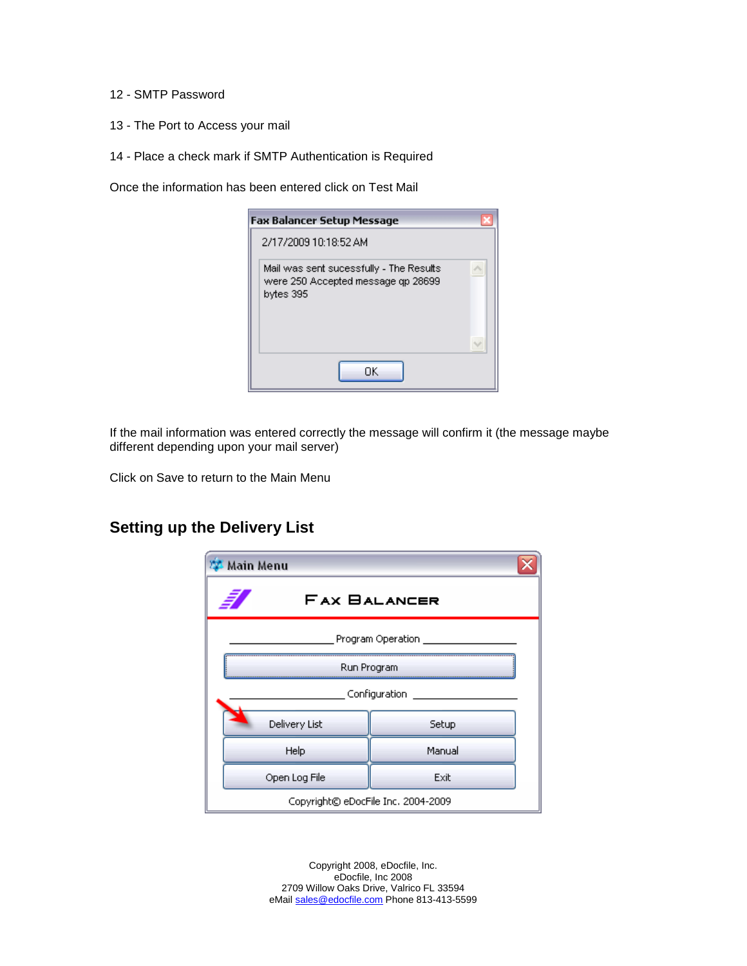#### 12 - SMTP Password

- 13 The Port to Access your mail
- 14 Place a check mark if SMTP Authentication is Required

Once the information has been entered click on Test Mail

| <b>Fax Balancer Setup Message</b>                                                          |  |  |
|--------------------------------------------------------------------------------------------|--|--|
| 2/17/2009 10:18:52 AM                                                                      |  |  |
| Mail was sent sucessfully - The Results<br>were 250 Accepted message qp 28699<br>bytes 395 |  |  |
| ΠK                                                                                         |  |  |

If the mail information was entered correctly the message will confirm it (the message maybe different depending upon your mail server)

Click on Save to return to the Main Menu

#### **Setting up the Delivery List**

| <b>Main Menu</b>                   |        |  |
|------------------------------------|--------|--|
| <b>FAX BALANCER</b>                |        |  |
| Program Operation                  |        |  |
| Run Program                        |        |  |
| Configuration __                   |        |  |
| Delivery List                      | Setup  |  |
| Help                               | Manual |  |
| Open Log File                      | Exit   |  |
| Copyright© eDocFile Inc. 2004-2009 |        |  |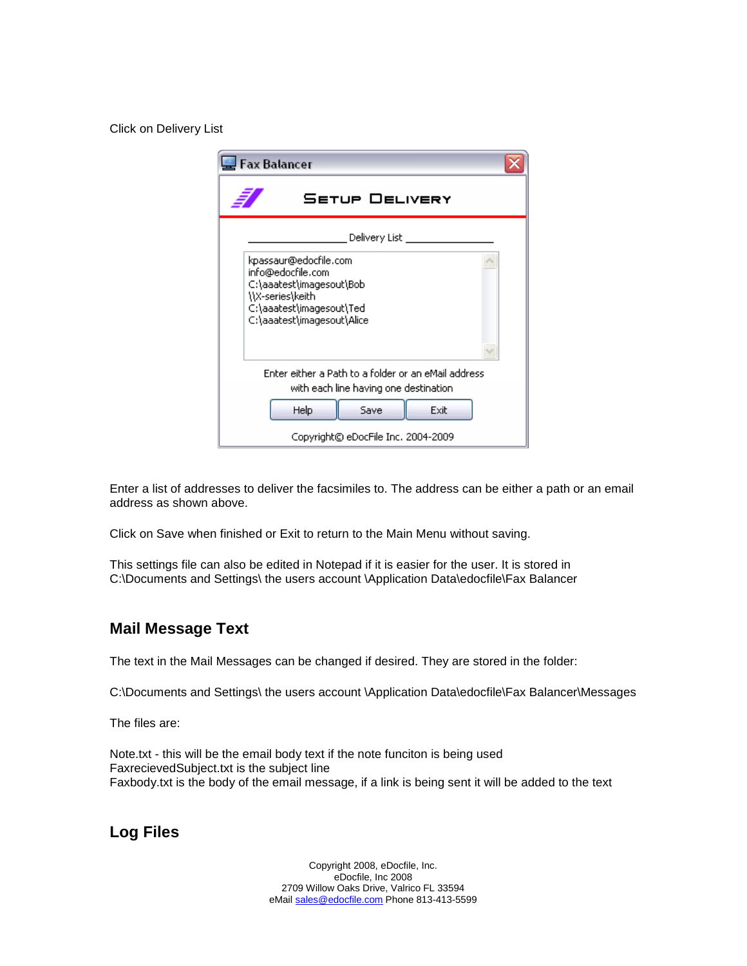Click on Delivery List

| <b>Fax Balancer</b>                                                                                                                                  |  |  |
|------------------------------------------------------------------------------------------------------------------------------------------------------|--|--|
| <b>SETUP DELIVERY</b>                                                                                                                                |  |  |
| Delivery List                                                                                                                                        |  |  |
| kpassaur@edocfile.com<br>info@edocfile.com<br>C:\aaatest\imagesout\Bob<br>\\X-series\keith<br>C:\aaatest\imagesout\Ted<br>C:\aaatest\imagesout\Alice |  |  |
| Enter either a Path to a folder or an eMail address<br>with each line having one destination.                                                        |  |  |
| Help<br>Save<br>Exit                                                                                                                                 |  |  |
| Copyright© eDocFile Inc. 2004-2009                                                                                                                   |  |  |

Enter a list of addresses to deliver the facsimiles to. The address can be either a path or an email address as shown above.

Click on Save when finished or Exit to return to the Main Menu without saving.

This settings file can also be edited in Notepad if it is easier for the user. It is stored in C:\Documents and Settings\ the users account \Application Data\edocfile\Fax Balancer

#### **Mail Message Text**

The text in the Mail Messages can be changed if desired. They are stored in the folder:

C:\Documents and Settings\ the users account \Application Data\edocfile\Fax Balancer\Messages

The files are:

Note.txt - this will be the email body text if the note funciton is being used FaxrecievedSubject.txt is the subject line Faxbody.txt is the body of the email message, if a link is being sent it will be added to the text

**Log Files**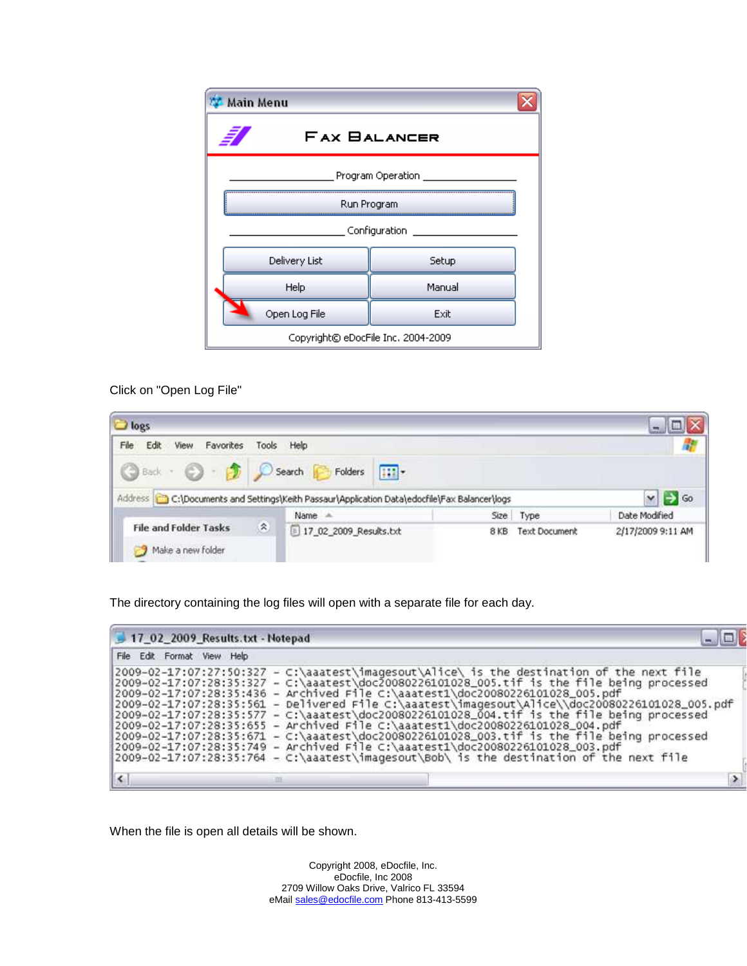| <b>Main Menu</b>                   |        |  |
|------------------------------------|--------|--|
| <b>FAX BALANCER</b>                |        |  |
| Program Operation                  |        |  |
| Run Program                        |        |  |
| Configuration _____                |        |  |
| Delivery List                      | Setup  |  |
| Help                               | Manual |  |
| Open Log File                      | Exit   |  |
| Copyright© eDocFile Inc. 2004-2009 |        |  |

#### Click on "Open Log File"

| J logs                                                                                      |                    |                        |                           |      |                    |                         |
|---------------------------------------------------------------------------------------------|--------------------|------------------------|---------------------------|------|--------------------|-------------------------|
| File<br>Edit<br>Favorites<br>View                                                           | Tools              | Help                   |                           |      |                    |                         |
| <b>3</b> Back · 2 · 2                                                                       |                    | Search<br>Folders      | $\overline{\textbf{H}}$ . |      |                    |                         |
| Address C:\Documents and Settings\Keith Passaur\Application Data\edocfile\Fax Balancer\logs |                    |                        |                           |      |                    | $\vee$ $\Rightarrow$ Go |
|                                                                                             |                    | Name                   |                           | Size | Type               | Date Modified           |
| <b>File and Folder Tasks</b><br>Make a new folder                                           | $\hat{\mathbf{z}}$ | 17_02_2009_Results.txt |                           |      | 8 KB Text Document | 2/17/2009 9:11 AM       |

The directory containing the log files will open with a separate file for each day.

| 17 02 2009 Results.txt - Notepad |                                                                                                                                                                                                                                                                                                                                                                                                                                                                                                                                                                                                                                                                                                                                                                                                                                         |  |
|----------------------------------|-----------------------------------------------------------------------------------------------------------------------------------------------------------------------------------------------------------------------------------------------------------------------------------------------------------------------------------------------------------------------------------------------------------------------------------------------------------------------------------------------------------------------------------------------------------------------------------------------------------------------------------------------------------------------------------------------------------------------------------------------------------------------------------------------------------------------------------------|--|
| File Edit Format View Help       |                                                                                                                                                                                                                                                                                                                                                                                                                                                                                                                                                                                                                                                                                                                                                                                                                                         |  |
|                                  | 2009-02-17:07:27:50:327 - C:\aaatest\imagesout\Alice\ is the destination of the next file<br>2009-02-17:07:28:35:327 - C:\aaatest\doc20080226101028_005.tif is the file being processed<br> 2009-02-17:07:28:35:436 - Archived File C:\aaatest1\doc20080226101028_005.pdf<br> 2009-02-17:07:28:35:561 - Delivered File C:\aaatest\imagesout\Alice\\doc20080226101028_005.pdf<br>2009-02-17:07:28:35:577 - C:\aaatest\doc20080226101028_004.tif is the file being processed<br> 2009-02-17:07:28:35:655 - Archived File C:\aaatest1\doc20080226101028_004.pdf<br>2009-02-17:07:28:35:671 - C:\aaatest\doc20080226101028_003.tif is the file being processed<br> 2009-02-17:07:28:35:749 - Archived File C:\aaatest1\doc20080226101028_003.pdf<br>2009-02-17:07:28:35:764 - C:\aaatest\imagesout\Bob\ is the destination of the next file |  |
|                                  |                                                                                                                                                                                                                                                                                                                                                                                                                                                                                                                                                                                                                                                                                                                                                                                                                                         |  |

When the file is open all details will be shown.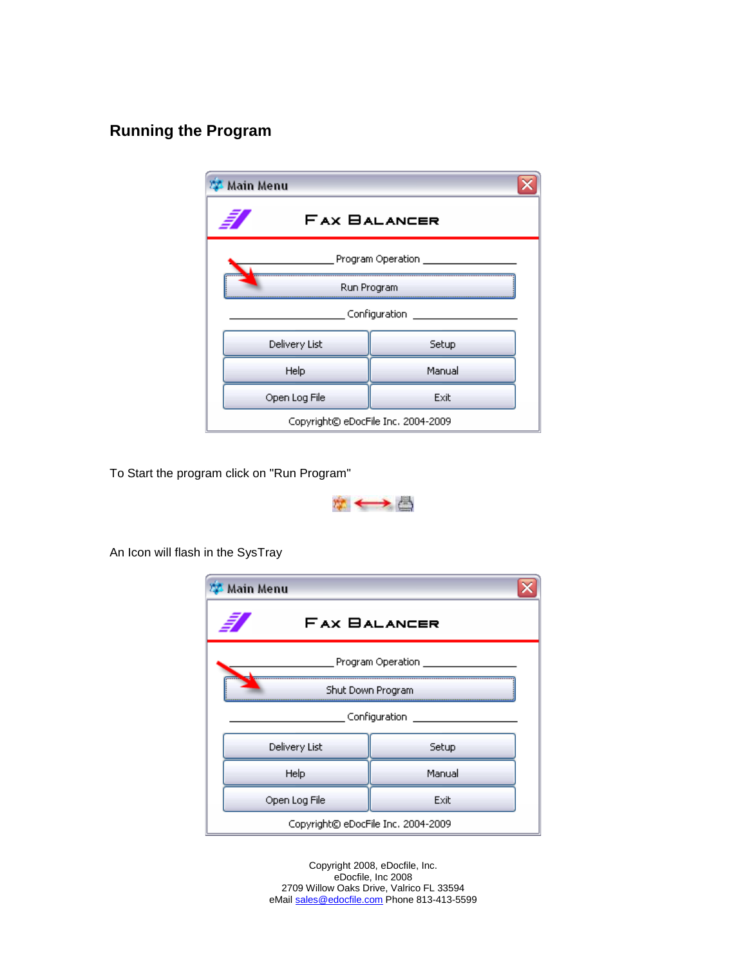## **Running the Program**

| Main Menu                          |        |  |
|------------------------------------|--------|--|
| <b>FAX BALANCER</b>                |        |  |
| Program Operation                  |        |  |
| Run Program                        |        |  |
| Configuration                      |        |  |
| Delivery List                      | Setup  |  |
| Help                               | Manual |  |
| Open Log File<br>Exit              |        |  |
| Copyright© eDocFile Inc. 2004-2009 |        |  |

To Start the program click on "Run Program"



An Icon will flash in the SysTray

| Main Menu                          |        |  |
|------------------------------------|--------|--|
| <b>FAX BALANCER</b>                |        |  |
| Program Operation                  |        |  |
| Shut Down Program                  |        |  |
| Configuration                      |        |  |
| Delivery List                      | Setup  |  |
| Help                               | Manual |  |
| Open Log File                      | Exit   |  |
| Copyright© eDocFile Inc. 2004-2009 |        |  |